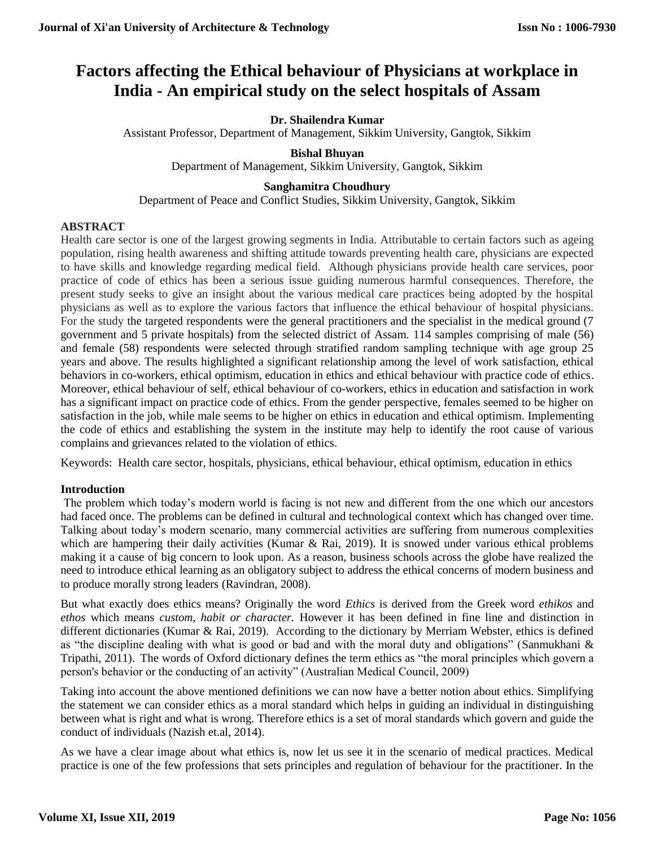# **Factors affecting the Ethical behaviour of Physicians at workplace in India - An empirical study on the select hospitals of Assam**

# **Dr. Shailendra Kumar**

Assistant Professor, Department of Management, Sikkim University, Gangtok, Sikkim

### **Bishal Bhuyan**

Department of Management, Sikkim University, Gangtok, Sikkim

# **Sanghamitra Choudhury**

Department of Peace and Conflict Studies, Sikkim University, Gangtok, Sikkim

# **ABSTRACT**

Health care sector is one of the largest growing segments in India. Attributable to certain factors such as ageing population, rising health awareness and shifting attitude towards preventing health care, physicians are expected to have skills and knowledge regarding medical field. Although physicians provide health care services, poor practice of code of ethics has been a serious issue guiding numerous harmful consequences. Therefore, the present study seeks to give an insight about the various medical care practices being adopted by the hospital physicians as well as to explore the various factors that influence the ethical behaviour of hospital physicians. For the study the targeted respondents were the general practitioners and the specialist in the medical ground (7 government and 5 private hospitals) from the selected district of Assam. 114 samples comprising of male (56) and female (58) respondents were selected through stratified random sampling technique with age group 25 years and above. The results highlighted a significant relationship among the level of work satisfaction, ethical behaviors in co-workers, ethical optimism, education in ethics and ethical behaviour with practice code of ethics. Moreover, ethical behaviour of self, ethical behaviour of co-workers, ethics in education and satisfaction in work has a significant impact on practice code of ethics. From the gender perspective, females seemed to be higher on satisfaction in the job, while male seems to be higher on ethics in education and ethical optimism. Implementing the code of ethics and establishing the system in the institute may help to identify the root cause of various complains and grievances related to the violation of ethics.

Keywords: Health care sector, hospitals, physicians, ethical behaviour, ethical optimism, education in ethics

# **Introduction**

The problem which today's modern world is facing is not new and different from the one which our ancestors had faced once. The problems can be defined in cultural and technological context which has changed over time. Talking about today's modern scenario, many commercial activities are suffering from numerous complexities which are hampering their daily activities (Kumar & Rai, 2019). It is snowed under various ethical problems making it a cause of big concern to look upon. As a reason, business schools across the globe have realized the need to introduce ethical learning as an obligatory subject to address the ethical concerns of modern business and to produce morally strong leaders (Ravindran, 2008).

But what exactly does ethics means? Originally the word *Ethics* is derived from the Greek word *ethikos* and *ethos* which means *custom, habit or character.* However it has been defined in fine line and distinction in different dictionaries (Kumar & Rai, 2019). According to the dictionary by Merriam Webster, ethics is defined as "the discipline dealing with what is good or bad and with the moral duty and obligations" (Sanmukhani & Tripathi, 2011). The words of Oxford dictionary defines the term ethics as "the moral principles which govern a person's behavior or the conducting of an activity" (Australian Medical Council, 2009)

Taking into account the above mentioned definitions we can now have a better notion about ethics. Simplifying the statement we can consider ethics as a moral standard which helps in guiding an individual in distinguishing between what is right and what is wrong. Therefore ethics is a set of moral standards which govern and guide the conduct of individuals (Nazish et.al, 2014).

As we have a clear image about what ethics is, now let us see it in the scenario of medical practices. Medical practice is one of the few professions that sets principles and regulation of behaviour for the practitioner. In the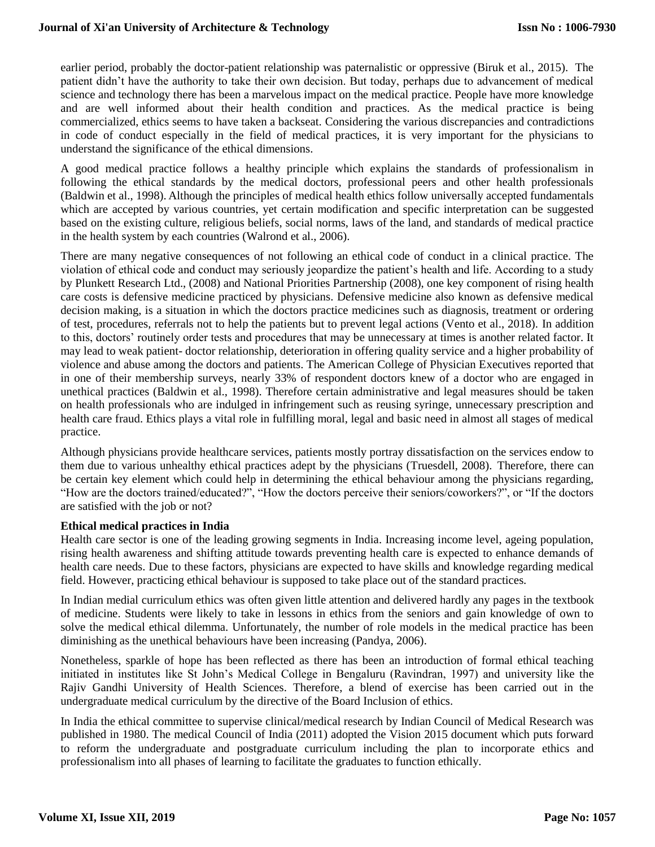earlier period, probably the doctor-patient relationship was paternalistic or oppressive (Biruk et al., 2015). The patient didn't have the authority to take their own decision. But today, perhaps due to advancement of medical science and technology there has been a marvelous impact on the medical practice. People have more knowledge and are well informed about their health condition and practices. As the medical practice is being commercialized, ethics seems to have taken a backseat. Considering the various discrepancies and contradictions in code of conduct especially in the field of medical practices, it is very important for the physicians to understand the significance of the ethical dimensions.

A good medical practice follows a healthy principle which explains the standards of professionalism in following the ethical standards by the medical doctors, professional peers and other health professionals (Baldwin et al., 1998). Although the principles of medical health ethics follow universally accepted fundamentals which are accepted by various countries, yet certain modification and specific interpretation can be suggested based on the existing culture, religious beliefs, social norms, laws of the land, and standards of medical practice in the health system by each countries (Walrond et al., 2006).

There are many negative consequences of not following an ethical code of conduct in a clinical practice. The violation of ethical code and conduct may seriously jeopardize the patient's health and life. According to a study by Plunkett Research Ltd., (2008) and National Priorities Partnership (2008), one key component of rising health care costs is defensive medicine practiced by physicians. Defensive medicine also known as defensive medical decision making, is a situation in which the doctors practice medicines such as diagnosis, treatment or ordering of test, procedures, referrals not to help the patients but to prevent legal actions (Vento et al., 2018). In addition to this, doctors' routinely order tests and procedures that may be unnecessary at times is another related factor. It may lead to weak patient- doctor relationship, deterioration in offering quality service and a higher probability of violence and abuse among the doctors and patients. The American College of Physician Executives reported that in one of their membership surveys, nearly 33% of respondent doctors knew of a doctor who are engaged in unethical practices (Baldwin et al., 1998). Therefore certain administrative and legal measures should be taken on health professionals who are indulged in infringement such as reusing syringe, unnecessary prescription and health care fraud. Ethics plays a vital role in fulfilling moral, legal and basic need in almost all stages of medical practice.

Although physicians provide healthcare services, patients mostly portray dissatisfaction on the services endow to them due to various unhealthy ethical practices adept by the physicians (Truesdell, 2008). Therefore, there can be certain key element which could help in determining the ethical behaviour among the physicians regarding, "How are the doctors trained/educated?", "How the doctors perceive their seniors/coworkers?", or "If the doctors are satisfied with the job or not?

# **Ethical medical practices in India**

Health care sector is one of the leading growing segments in India. Increasing income level, ageing population, rising health awareness and shifting attitude towards preventing health care is expected to enhance demands of health care needs. Due to these factors, physicians are expected to have skills and knowledge regarding medical field. However, practicing ethical behaviour is supposed to take place out of the standard practices.

In Indian medial curriculum ethics was often given little attention and delivered hardly any pages in the textbook of medicine. Students were likely to take in lessons in ethics from the seniors and gain knowledge of own to solve the medical ethical dilemma. Unfortunately, the number of role models in the medical practice has been diminishing as the unethical behaviours have been increasing (Pandya, 2006).

Nonetheless, sparkle of hope has been reflected as there has been an introduction of formal ethical teaching initiated in institutes like St John's Medical College in Bengaluru (Ravindran, 1997) and university like the Rajiv Gandhi University of Health Sciences. Therefore, a blend of exercise has been carried out in the undergraduate medical curriculum by the directive of the Board Inclusion of ethics.

In India the ethical committee to supervise clinical/medical research by Indian Council of Medical Research was published in 1980. The medical Council of India (2011) adopted the Vision 2015 document which puts forward to reform the undergraduate and postgraduate curriculum including the plan to incorporate ethics and professionalism into all phases of learning to facilitate the graduates to function ethically.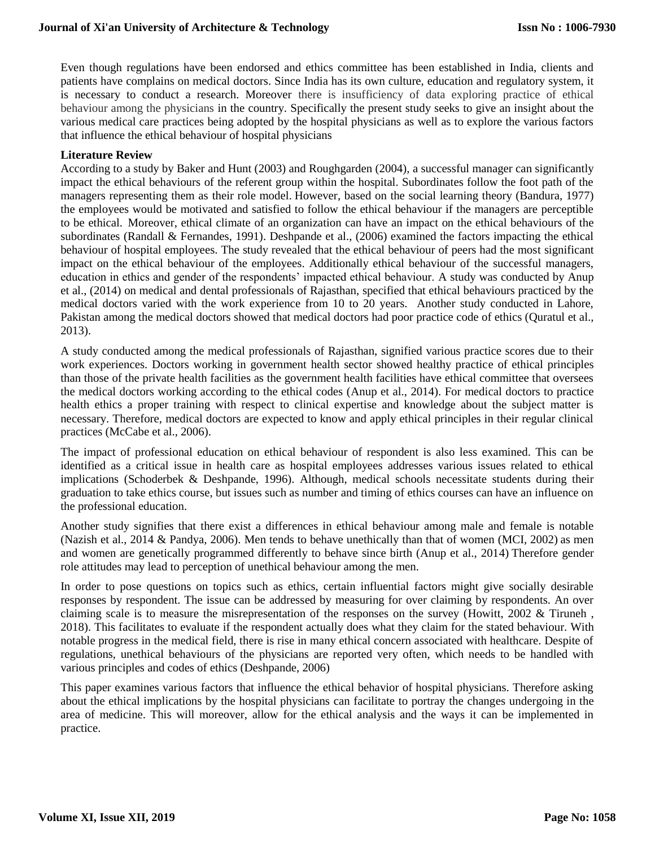Even though regulations have been endorsed and ethics committee has been established in India, clients and patients have complains on medical doctors. Since India has its own culture, education and regulatory system, it is necessary to conduct a research. Moreover there is insufficiency of data exploring practice of ethical behaviour among the physicians in the country. Specifically the present study seeks to give an insight about the various medical care practices being adopted by the hospital physicians as well as to explore the various factors that influence the ethical behaviour of hospital physicians

# **Literature Review**

According to a study by Baker and Hunt (2003) and Roughgarden (2004), a successful manager can significantly impact the ethical behaviours of the referent group within the hospital. Subordinates follow the foot path of the managers representing them as their role model. However, based on the social learning theory (Bandura, 1977) the employees would be motivated and satisfied to follow the ethical behaviour if the managers are perceptible to be ethical. Moreover, ethical climate of an organization can have an impact on the ethical behaviours of the subordinates (Randall & Fernandes, 1991). Deshpande et al., (2006) examined the factors impacting the ethical behaviour of hospital employees. The study revealed that the ethical behaviour of peers had the most significant impact on the ethical behaviour of the employees. Additionally ethical behaviour of the successful managers, education in ethics and gender of the respondents' impacted ethical behaviour. A study was conducted by Anup et al., (2014) on medical and dental professionals of Rajasthan, specified that ethical behaviours practiced by the medical doctors varied with the work experience from 10 to 20 years. Another study conducted in Lahore, Pakistan among the medical doctors showed that medical doctors had poor practice code of ethics (Quratul et al., 2013).

A study conducted among the medical professionals of Rajasthan, signified various practice scores due to their work experiences. Doctors working in government health sector showed healthy practice of ethical principles than those of the private health facilities as the government health facilities have ethical committee that oversees the medical doctors working according to the ethical codes (Anup et al., 2014). For medical doctors to practice health ethics a proper training with respect to clinical expertise and knowledge about the subject matter is necessary. Therefore, medical doctors are expected to know and apply ethical principles in their regular clinical practices (McCabe et al., 2006).

The impact of professional education on ethical behaviour of respondent is also less examined. This can be identified as a critical issue in health care as hospital employees addresses various issues related to ethical implications (Schoderbek & Deshpande, 1996). Although, medical schools necessitate students during their graduation to take ethics course, but issues such as number and timing of ethics courses can have an influence on the professional education.

Another study signifies that there exist a differences in ethical behaviour among male and female is notable (Nazish et al., 2014 & Pandya, 2006). Men tends to behave unethically than that of women (MCI, 2002) as men and women are genetically programmed differently to behave since birth (Anup et al., 2014) Therefore gender role attitudes may lead to perception of unethical behaviour among the men.

In order to pose questions on topics such as ethics, certain influential factors might give socially desirable responses by respondent. The issue can be addressed by measuring for over claiming by respondents. An over claiming scale is to measure the misrepresentation of the responses on the survey (Howitt, 2002 & Tiruneh , 2018). This facilitates to evaluate if the respondent actually does what they claim for the stated behaviour. With notable progress in the medical field, there is rise in many ethical concern associated with healthcare. Despite of regulations, unethical behaviours of the physicians are reported very often, which needs to be handled with various principles and codes of ethics (Deshpande, 2006)

This paper examines various factors that influence the ethical behavior of hospital physicians. Therefore asking about the ethical implications by the hospital physicians can facilitate to portray the changes undergoing in the area of medicine. This will moreover, allow for the ethical analysis and the ways it can be implemented in practice.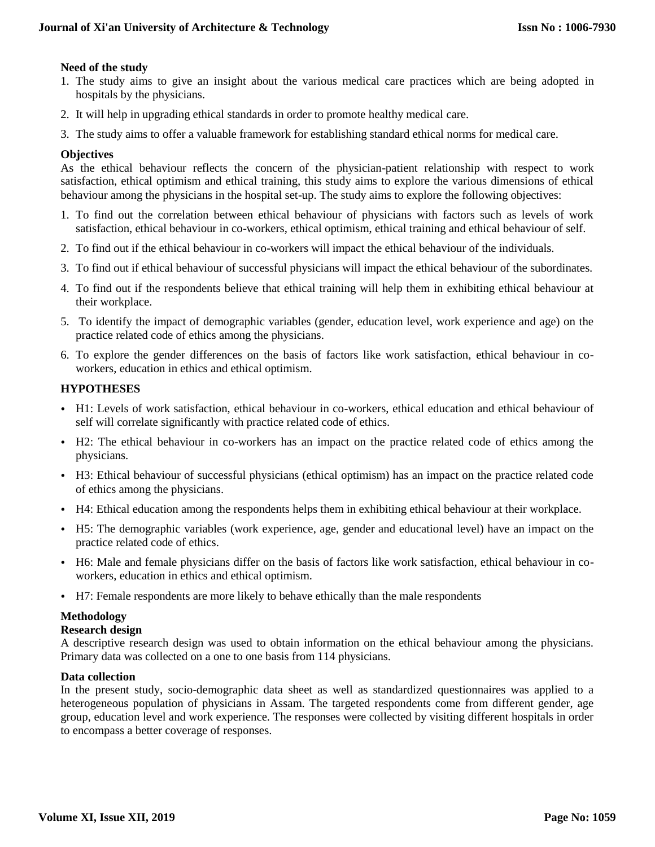# **Need of the study**

- 1. The study aims to give an insight about the various medical care practices which are being adopted in hospitals by the physicians.
- 2. It will help in upgrading ethical standards in order to promote healthy medical care.
- 3. The study aims to offer a valuable framework for establishing standard ethical norms for medical care.

## **Objectives**

As the ethical behaviour reflects the concern of the physician-patient relationship with respect to work satisfaction, ethical optimism and ethical training, this study aims to explore the various dimensions of ethical behaviour among the physicians in the hospital set-up. The study aims to explore the following objectives:

- 1. To find out the correlation between ethical behaviour of physicians with factors such as levels of work satisfaction, ethical behaviour in co-workers, ethical optimism, ethical training and ethical behaviour of self.
- 2. To find out if the ethical behaviour in co-workers will impact the ethical behaviour of the individuals.
- 3. To find out if ethical behaviour of successful physicians will impact the ethical behaviour of the subordinates.
- 4. To find out if the respondents believe that ethical training will help them in exhibiting ethical behaviour at their workplace.
- 5. To identify the impact of demographic variables (gender, education level, work experience and age) on the practice related code of ethics among the physicians.
- 6. To explore the gender differences on the basis of factors like work satisfaction, ethical behaviour in coworkers, education in ethics and ethical optimism.

# **HYPOTHESES**

- H1: Levels of work satisfaction, ethical behaviour in co-workers, ethical education and ethical behaviour of self will correlate significantly with practice related code of ethics.
- H2: The ethical behaviour in co-workers has an impact on the practice related code of ethics among the physicians.
- H3: Ethical behaviour of successful physicians (ethical optimism) has an impact on the practice related code of ethics among the physicians.
- H4: Ethical education among the respondents helps them in exhibiting ethical behaviour at their workplace.
- H5: The demographic variables (work experience, age, gender and educational level) have an impact on the practice related code of ethics.
- H6: Male and female physicians differ on the basis of factors like work satisfaction, ethical behaviour in coworkers, education in ethics and ethical optimism.
- H7: Female respondents are more likely to behave ethically than the male respondents

# **Methodology**

#### **Research design**

A descriptive research design was used to obtain information on the ethical behaviour among the physicians. Primary data was collected on a one to one basis from 114 physicians.

#### **Data collection**

In the present study, socio-demographic data sheet as well as standardized questionnaires was applied to a heterogeneous population of physicians in Assam. The targeted respondents come from different gender, age group, education level and work experience. The responses were collected by visiting different hospitals in order to encompass a better coverage of responses.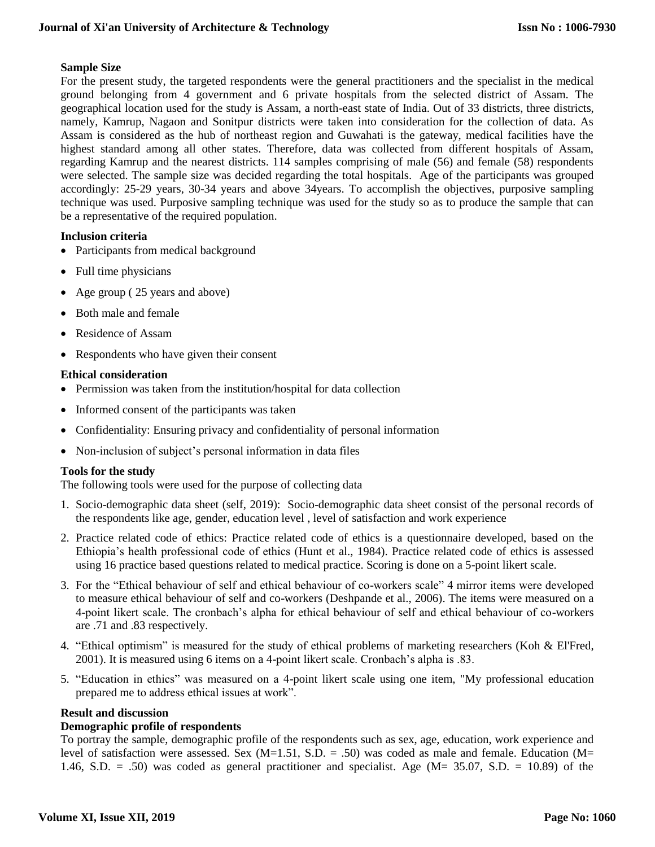# **Sample Size**

For the present study, the targeted respondents were the general practitioners and the specialist in the medical ground belonging from 4 government and 6 private hospitals from the selected district of Assam. The geographical location used for the study is Assam, a north-east state of India. Out of 33 districts, three districts, namely, Kamrup, Nagaon and Sonitpur districts were taken into consideration for the collection of data. As Assam is considered as the hub of northeast region and Guwahati is the gateway, medical facilities have the highest standard among all other states. Therefore, data was collected from different hospitals of Assam, regarding Kamrup and the nearest districts. 114 samples comprising of male (56) and female (58) respondents were selected. The sample size was decided regarding the total hospitals. Age of the participants was grouped accordingly: 25-29 years, 30-34 years and above 34years. To accomplish the objectives, purposive sampling technique was used. Purposive sampling technique was used for the study so as to produce the sample that can be a representative of the required population.

# **Inclusion criteria**

- Participants from medical background
- Full time physicians
- Age group (25 years and above)
- Both male and female
- Residence of Assam
- Respondents who have given their consent

# **Ethical consideration**

- Permission was taken from the institution/hospital for data collection
- Informed consent of the participants was taken
- Confidentiality: Ensuring privacy and confidentiality of personal information
- Non-inclusion of subject's personal information in data files

# **Tools for the study**

The following tools were used for the purpose of collecting data

- 1. Socio-demographic data sheet (self, 2019): Socio-demographic data sheet consist of the personal records of the respondents like age, gender, education level , level of satisfaction and work experience
- 2. Practice related code of ethics: Practice related code of ethics is a questionnaire developed, based on the Ethiopia's health professional code of ethics (Hunt et al., 1984). Practice related code of ethics is assessed using 16 practice based questions related to medical practice. Scoring is done on a 5-point likert scale.
- 3. For the "Ethical behaviour of self and ethical behaviour of co-workers scale" 4 mirror items were developed to measure ethical behaviour of self and co-workers (Deshpande et al., 2006). The items were measured on a 4-point likert scale. The cronbach's alpha for ethical behaviour of self and ethical behaviour of co-workers are .71 and .83 respectively.
- 4. "Ethical optimism" is measured for the study of ethical problems of marketing researchers (Koh & El'Fred, 2001). It is measured using 6 items on a 4-point likert scale. Cronbach's alpha is .83.
- 5. "Education in ethics" was measured on a 4-point likert scale using one item, "My professional education prepared me to address ethical issues at work".

# **Result and discussion**

# **Demographic profile of respondents**

To portray the sample, demographic profile of the respondents such as sex, age, education, work experience and level of satisfaction were assessed. Sex  $(M=1.51, S.D. = .50)$  was coded as male and female. Education  $(M=$ 1.46, S.D.  $= .50$ ) was coded as general practitioner and specialist. Age (M= 35.07, S.D.  $= 10.89$ ) of the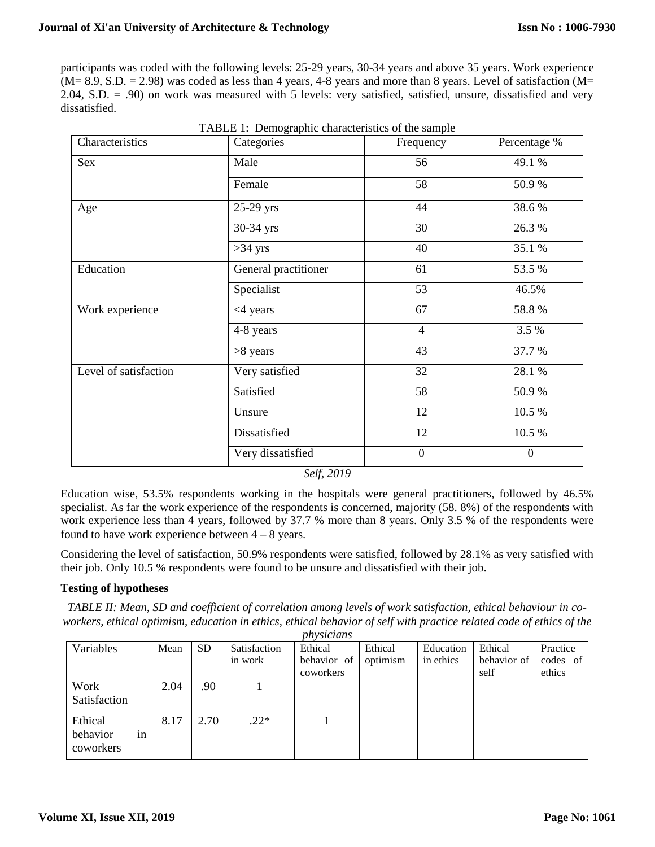participants was coded with the following levels: 25-29 years, 30-34 years and above 35 years. Work experience  $(M= 8.9, S.D. = 2.98)$  was coded as less than 4 years, 4-8 years and more than 8 years. Level of satisfaction  $(M=$ 2.04, S.D. = .90) on work was measured with 5 levels: very satisfied, satisfied, unsure, dissatisfied and very dissatisfied.

| Characteristics       | Categories           | Frequency      | Percentage %   |  |  |
|-----------------------|----------------------|----------------|----------------|--|--|
| Sex                   | Male                 | 56             | 49.1 %         |  |  |
|                       | Female               | 58             | 50.9%          |  |  |
| Age                   | 25-29 yrs            | 44             | 38.6%          |  |  |
|                       | 30-34 yrs            | 30             | 26.3 %         |  |  |
|                       | $>34$ yrs            | 40             | 35.1 %         |  |  |
| Education             | General practitioner | 61             | 53.5 %         |  |  |
|                       | Specialist           | 53             | 46.5%          |  |  |
| Work experience       | <4 years             | 67             | 58.8%          |  |  |
|                       | 4-8 years            | $\overline{4}$ | 3.5 %          |  |  |
|                       | $>8$ years           | 43             | 37.7 %         |  |  |
| Level of satisfaction | Very satisfied       | 32             | 28.1 %         |  |  |
|                       | Satisfied            | 58             | 50.9%          |  |  |
|                       | Unsure               | 12             | 10.5 %         |  |  |
|                       | Dissatisfied         | 12             | 10.5 %         |  |  |
|                       | Very dissatisfied    | $\overline{0}$ | $\overline{0}$ |  |  |

TABLE 1: Demographic characteristics of the sample

*Self, 2019*

Education wise, 53.5% respondents working in the hospitals were general practitioners, followed by 46.5% specialist. As far the work experience of the respondents is concerned, majority (58. 8%) of the respondents with work experience less than 4 years, followed by 37.7 % more than 8 years. Only 3.5 % of the respondents were found to have work experience between  $4 - 8$  years.

Considering the level of satisfaction, 50.9% respondents were satisfied, followed by 28.1% as very satisfied with their job. Only 10.5 % respondents were found to be unsure and dissatisfied with their job.

# **Testing of hypotheses**

*TABLE II: Mean, SD and coefficient of correlation among levels of work satisfaction, ethical behaviour in coworkers, ethical optimism, education in ethics, ethical behavior of self with practice related code of ethics of the physicians*

| Variables                                | Mean | <b>SD</b> | Satisfaction | Ethical     | Ethical  | Education | Ethical     | Practice |
|------------------------------------------|------|-----------|--------------|-------------|----------|-----------|-------------|----------|
|                                          |      |           | in work      | behavior of | optimism | in ethics | behavior of | codes of |
|                                          |      |           |              | coworkers   |          |           | self        | ethics   |
| Work                                     | 2.04 | .90       |              |             |          |           |             |          |
| Satisfaction                             |      |           |              |             |          |           |             |          |
| Ethical                                  | 8.17 | 2.70      | $.22*$       |             |          |           |             |          |
| $\bullet$<br>behavior<br>1n<br>coworkers |      |           |              |             |          |           |             |          |

**Volume XI, Issue XII, 2019**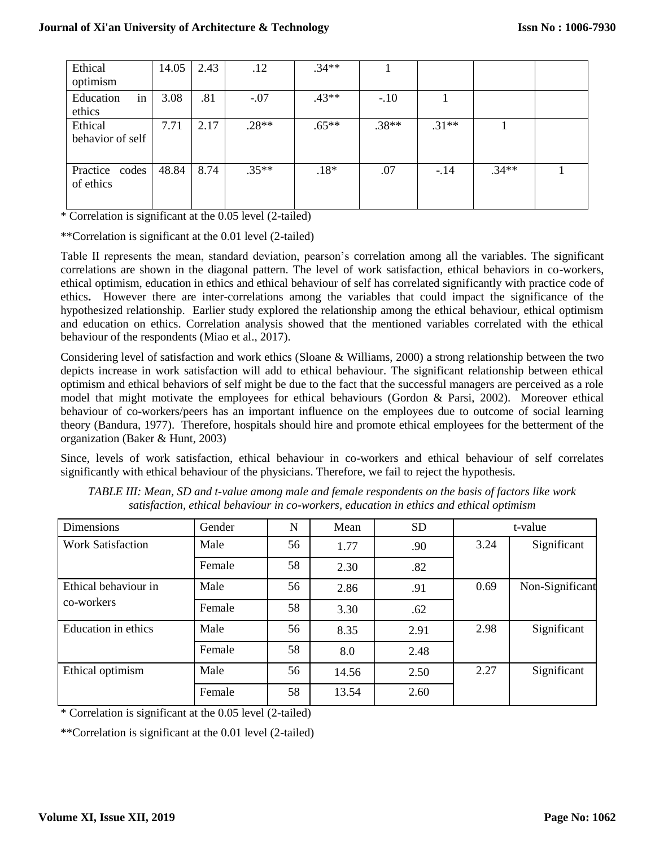| Ethical<br>optimism         | 14.05 | 2.43 | .12     | $.34**$ |         |         |         |  |
|-----------------------------|-------|------|---------|---------|---------|---------|---------|--|
| Education<br>in<br>ethics   | 3.08  | .81  | $-.07$  | $.43**$ | $-.10$  |         |         |  |
| Ethical<br>behavior of self | 7.71  | 2.17 | $.28**$ | $.65**$ | $.38**$ | $.31**$ |         |  |
| Practice codes<br>of ethics | 48.84 | 8.74 | $.35**$ | $.18*$  | .07     | $-.14$  | $.34**$ |  |

\* Correlation is significant at the 0.05 level (2-tailed)

\*\*Correlation is significant at the 0.01 level (2-tailed)

Table II represents the mean, standard deviation, pearson's correlation among all the variables. The significant correlations are shown in the diagonal pattern. The level of work satisfaction, ethical behaviors in co-workers, ethical optimism, education in ethics and ethical behaviour of self has correlated significantly with practice code of ethics**.** However there are inter-correlations among the variables that could impact the significance of the hypothesized relationship. Earlier study explored the relationship among the ethical behaviour, ethical optimism and education on ethics. Correlation analysis showed that the mentioned variables correlated with the ethical behaviour of the respondents (Miao et al., 2017).

Considering level of satisfaction and work ethics (Sloane & Williams, 2000) a strong relationship between the two depicts increase in work satisfaction will add to ethical behaviour. The significant relationship between ethical optimism and ethical behaviors of self might be due to the fact that the successful managers are perceived as a role model that might motivate the employees for ethical behaviours (Gordon & Parsi, 2002). Moreover ethical behaviour of co-workers/peers has an important influence on the employees due to outcome of social learning theory (Bandura, 1977). Therefore, hospitals should hire and promote ethical employees for the betterment of the organization (Baker & Hunt, 2003)

Since, levels of work satisfaction, ethical behaviour in co-workers and ethical behaviour of self correlates significantly with ethical behaviour of the physicians. Therefore, we fail to reject the hypothesis.

| Dimensions                         | Gender | N  | Mean  | <b>SD</b> | t-value |                 |
|------------------------------------|--------|----|-------|-----------|---------|-----------------|
| <b>Work Satisfaction</b>           | Male   | 56 | 1.77  | .90       | 3.24    | Significant     |
|                                    | Female | 58 | 2.30  | .82       |         |                 |
| Ethical behaviour in<br>co-workers | Male   | 56 | 2.86  | .91       | 0.69    | Non-Significant |
|                                    | Female | 58 | 3.30  | .62       |         |                 |
| <b>Education</b> in ethics         | Male   | 56 | 8.35  | 2.91      | 2.98    | Significant     |
|                                    | Female | 58 | 8.0   | 2.48      |         |                 |
| Ethical optimism                   | Male   | 56 | 14.56 | 2.50      | 2.27    | Significant     |
|                                    | Female | 58 | 13.54 | 2.60      |         |                 |

*TABLE III: Mean, SD and t-value among male and female respondents on the basis of factors like work satisfaction, ethical behaviour in co-workers, education in ethics and ethical optimism*

\* Correlation is significant at the 0.05 level (2-tailed)

\*\*Correlation is significant at the 0.01 level (2-tailed)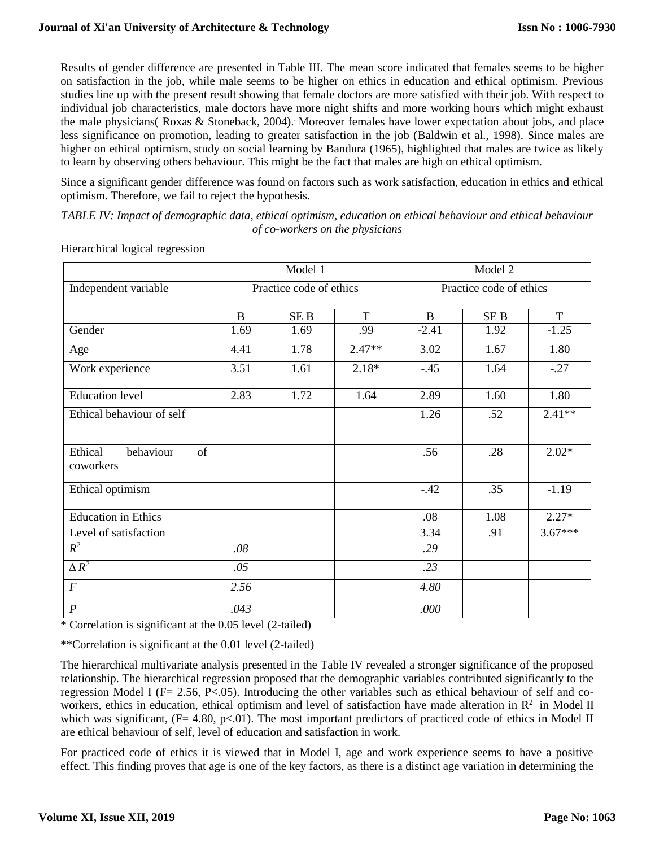# **Journal of Xi'an University of Architecture & Technology**

Results of gender difference are presented in Table III. The mean score indicated that females seems to be higher on satisfaction in the job, while male seems to be higher on ethics in education and ethical optimism. Previous studies line up with the present result showing that female doctors are more satisfied with their job. With respect to individual job characteristics, male doctors have more night shifts and more working hours which might exhaust the male physicians( Roxas & Stoneback, 2004).. Moreover females have lower expectation about jobs, and place less significance on promotion, leading to greater satisfaction in the job (Baldwin et al., 1998). Since males are higher on ethical optimism, study on social learning by Bandura (1965), highlighted that males are twice as likely to learn by observing others behaviour. This might be the fact that males are high on ethical optimism.

Since a significant gender difference was found on factors such as work satisfaction, education in ethics and ethical optimism. Therefore, we fail to reject the hypothesis.

*TABLE IV: Impact of demographic data, ethical optimism, education on ethical behaviour and ethical behaviour of co-workers on the physicians*

|                                         |                         | Model 1         |          | Model 2                 |                 |           |  |
|-----------------------------------------|-------------------------|-----------------|----------|-------------------------|-----------------|-----------|--|
| Independent variable                    | Practice code of ethics |                 |          | Practice code of ethics |                 |           |  |
|                                         | B                       | SE <sub>B</sub> | T        | $\mathbf{B}$            | SE <sub>B</sub> | T         |  |
| Gender                                  | 1.69                    | 1.69            | .99      | $-2.41$                 | 1.92            | $-1.25$   |  |
| Age                                     | 4.41                    | 1.78            | $2.47**$ | 3.02                    | 1.67            | 1.80      |  |
| Work experience                         | 3.51                    | 1.61            | $2.18*$  | $-.45$                  | 1.64            | $-.27$    |  |
| <b>Education</b> level                  | 2.83                    | 1.72            | 1.64     | 2.89                    | 1.60            | 1.80      |  |
| Ethical behaviour of self               |                         |                 |          | 1.26                    | .52             | $2.41**$  |  |
| Ethical<br>behaviour<br>of<br>coworkers |                         |                 |          | .56                     | .28             | $2.02*$   |  |
| Ethical optimism                        |                         |                 |          | $-42$                   | .35             | $-1.19$   |  |
| <b>Education</b> in Ethics              |                         |                 |          | .08                     | 1.08            | $2.27*$   |  |
| Level of satisfaction                   |                         |                 |          | 3.34                    | .91             | $3.67***$ |  |
| $R^2$                                   | .08                     |                 |          | .29                     |                 |           |  |
| $\Delta R^2$                            | .05                     |                 |          | .23                     |                 |           |  |
| $\boldsymbol{F}$                        | 2.56                    |                 |          | 4.80                    |                 |           |  |
| $\boldsymbol{P}$                        | .043                    |                 |          | .000                    |                 |           |  |

Hierarchical logical regression

\* Correlation is significant at the 0.05 level (2-tailed)

\*\*Correlation is significant at the 0.01 level (2-tailed)

The hierarchical multivariate analysis presented in the Table IV revealed a stronger significance of the proposed relationship. The hierarchical regression proposed that the demographic variables contributed significantly to the regression Model I ( $F = 2.56$ ,  $P < .05$ ). Introducing the other variables such as ethical behaviour of self and coworkers, ethics in education, ethical optimism and level of satisfaction have made alteration in  $\mathbb{R}^2$  in Model II which was significant,  $(F= 4.80, p<0.01)$ . The most important predictors of practiced code of ethics in Model II are ethical behaviour of self, level of education and satisfaction in work.

For practiced code of ethics it is viewed that in Model I, age and work experience seems to have a positive effect. This finding proves that age is one of the key factors, as there is a distinct age variation in determining the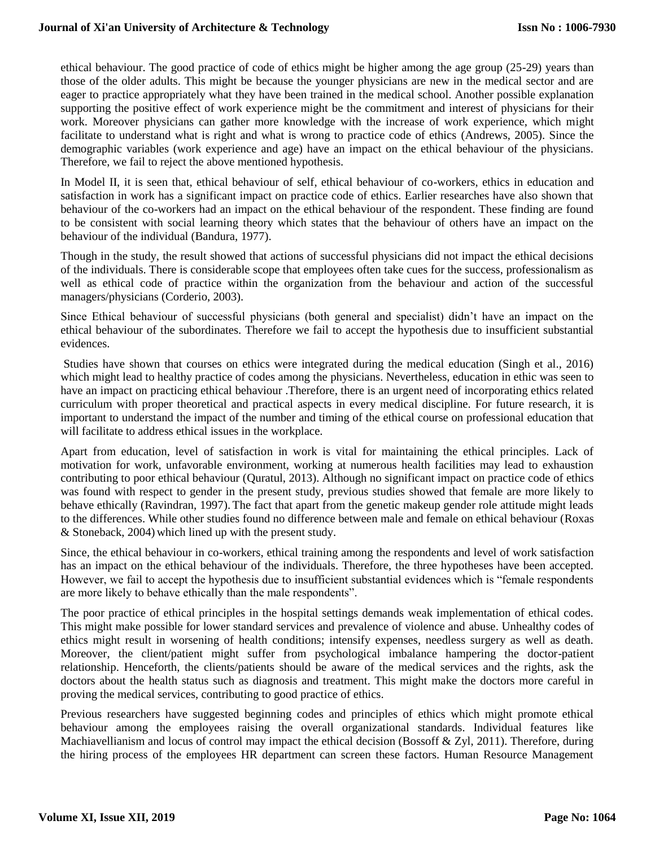ethical behaviour. The good practice of code of ethics might be higher among the age group (25-29) years than those of the older adults. This might be because the younger physicians are new in the medical sector and are eager to practice appropriately what they have been trained in the medical school. Another possible explanation supporting the positive effect of work experience might be the commitment and interest of physicians for their work. Moreover physicians can gather more knowledge with the increase of work experience, which might facilitate to understand what is right and what is wrong to practice code of ethics (Andrews, 2005). Since the demographic variables (work experience and age) have an impact on the ethical behaviour of the physicians. Therefore, we fail to reject the above mentioned hypothesis.

In Model II, it is seen that, ethical behaviour of self, ethical behaviour of co-workers, ethics in education and satisfaction in work has a significant impact on practice code of ethics. Earlier researches have also shown that behaviour of the co-workers had an impact on the ethical behaviour of the respondent. These finding are found to be consistent with social learning theory which states that the behaviour of others have an impact on the behaviour of the individual (Bandura, 1977).

Though in the study, the result showed that actions of successful physicians did not impact the ethical decisions of the individuals. There is considerable scope that employees often take cues for the success, professionalism as well as ethical code of practice within the organization from the behaviour and action of the successful managers/physicians (Corderio, 2003).

Since Ethical behaviour of successful physicians (both general and specialist) didn't have an impact on the ethical behaviour of the subordinates. Therefore we fail to accept the hypothesis due to insufficient substantial evidences.

Studies have shown that courses on ethics were integrated during the medical education (Singh et al., 2016) which might lead to healthy practice of codes among the physicians. Nevertheless, education in ethic was seen to have an impact on practicing ethical behaviour .Therefore, there is an urgent need of incorporating ethics related curriculum with proper theoretical and practical aspects in every medical discipline. For future research, it is important to understand the impact of the number and timing of the ethical course on professional education that will facilitate to address ethical issues in the workplace.

Apart from education, level of satisfaction in work is vital for maintaining the ethical principles. Lack of motivation for work, unfavorable environment, working at numerous health facilities may lead to exhaustion contributing to poor ethical behaviour (Quratul, 2013). Although no significant impact on practice code of ethics was found with respect to gender in the present study, previous studies showed that female are more likely to behave ethically (Ravindran, 1997). The fact that apart from the genetic makeup gender role attitude might leads to the differences. While other studies found no difference between male and female on ethical behaviour (Roxas & Stoneback, 2004) which lined up with the present study.

Since, the ethical behaviour in co-workers, ethical training among the respondents and level of work satisfaction has an impact on the ethical behaviour of the individuals. Therefore, the three hypotheses have been accepted. However, we fail to accept the hypothesis due to insufficient substantial evidences which is "female respondents are more likely to behave ethically than the male respondents".

The poor practice of ethical principles in the hospital settings demands weak implementation of ethical codes. This might make possible for lower standard services and prevalence of violence and abuse. Unhealthy codes of ethics might result in worsening of health conditions; intensify expenses, needless surgery as well as death. Moreover, the client/patient might suffer from psychological imbalance hampering the doctor-patient relationship. Henceforth, the clients/patients should be aware of the medical services and the rights, ask the doctors about the health status such as diagnosis and treatment. This might make the doctors more careful in proving the medical services, contributing to good practice of ethics.

Previous researchers have suggested beginning codes and principles of ethics which might promote ethical behaviour among the employees raising the overall organizational standards. Individual features like Machiavellianism and locus of control may impact the ethical decision (Bossoff & Zyl, 2011). Therefore, during the hiring process of the employees HR department can screen these factors. Human Resource Management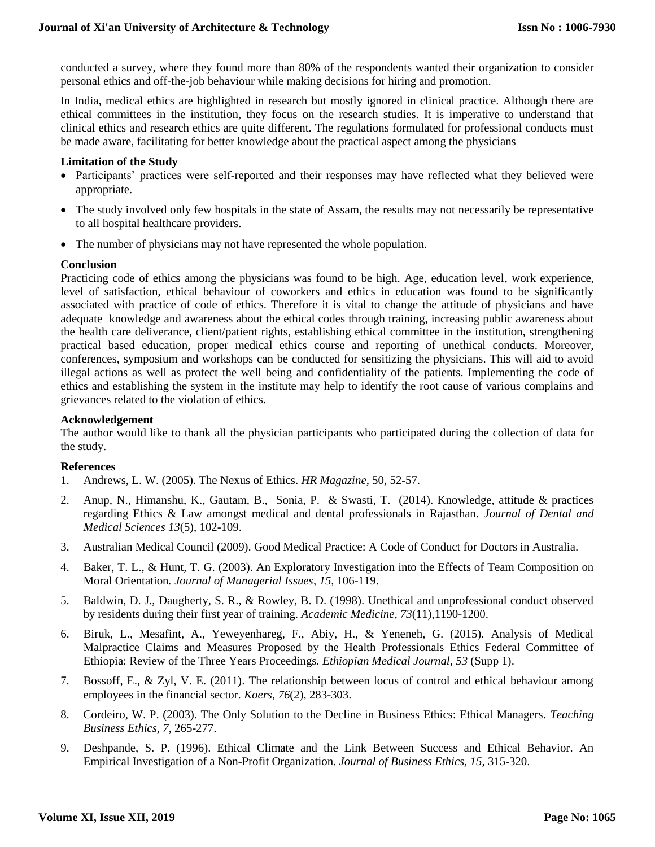conducted a survey, where they found more than 80% of the respondents wanted their organization to consider personal ethics and off-the-job behaviour while making decisions for hiring and promotion.

In India, medical ethics are highlighted in research but mostly ignored in clinical practice. Although there are ethical committees in the institution, they focus on the research studies. It is imperative to understand that clinical ethics and research ethics are quite different. The regulations formulated for professional conducts must be made aware, facilitating for better knowledge about the practical aspect among the physicians.

#### **Limitation of the Study**

- Participants' practices were self-reported and their responses may have reflected what they believed were appropriate.
- The study involved only few hospitals in the state of Assam, the results may not necessarily be representative to all hospital healthcare providers.
- The number of physicians may not have represented the whole population.

#### **Conclusion**

Practicing code of ethics among the physicians was found to be high. Age, education level, work experience, level of satisfaction, ethical behaviour of coworkers and ethics in education was found to be significantly associated with practice of code of ethics. Therefore it is vital to change the attitude of physicians and have adequate knowledge and awareness about the ethical codes through training, increasing public awareness about the health care deliverance, client/patient rights, establishing ethical committee in the institution, strengthening practical based education, proper medical ethics course and reporting of unethical conducts. Moreover, conferences, symposium and workshops can be conducted for sensitizing the physicians. This will aid to avoid illegal actions as well as protect the well being and confidentiality of the patients. Implementing the code of ethics and establishing the system in the institute may help to identify the root cause of various complains and grievances related to the violation of ethics.

### **Acknowledgement**

The author would like to thank all the physician participants who participated during the collection of data for the study.

#### **References**

- 1. Andrews, L. W. (2005). The Nexus of Ethics. *HR Magazine*, 50, 52-57.
- 2. Anup, N., Himanshu, K., Gautam, B., Sonia, P. & Swasti, T. (2014). Knowledge, attitude & practices regarding Ethics & Law amongst medical and dental professionals in Rajasthan. *Journal of Dental and Medical Sciences 13*(5), 102-109.
- 3. Australian Medical Council (2009). Good Medical Practice: A Code of Conduct for Doctors in Australia.
- 4. Baker, T. L., & Hunt, T. G. (2003). An Exploratory Investigation into the Effects of Team Composition on Moral Orientation*. Journal of Managerial Issues*, *15,* 106-119.
- 5. Baldwin, D. J., Daugherty, S. R., & Rowley, B. D. (1998). Unethical and unprofessional conduct observed by residents during their first year of training. *Academic Medicine, 73*(11),1190-1200.
- 6. Biruk, L., Mesafint, A., Yeweyenhareg, F., Abiy, H., & Yeneneh, G. (2015). Analysis of Medical Malpractice Claims and Measures Proposed by the Health Professionals Ethics Federal Committee of Ethiopia: Review of the Three Years Proceedings. *Ethiopian Medical Journal*, *53* (Supp 1).
- 7. Bossoff, E., & Zyl, V. E. (2011). The relationship between locus of control and ethical behaviour among employees in the financial sector. *Koers, 76*(2), 283-303.
- 8. Cordeiro, W. P. (2003). The Only Solution to the Decline in Business Ethics: Ethical Managers. *Teaching Business Ethics*, *7*, 265-277.
- 9. Deshpande, S. P. (1996). Ethical Climate and the Link Between Success and Ethical Behavior. An Empirical Investigation of a Non-Profit Organization. *Journal of Business Ethics, 15*, 315-320.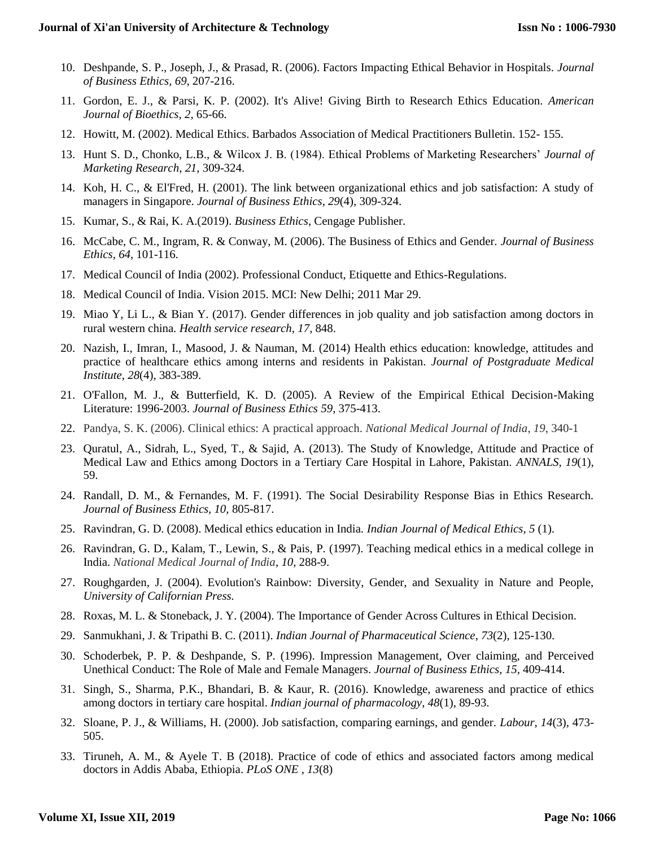- 10. Deshpande, S. P., Joseph, J., & Prasad, R. (2006). Factors Impacting Ethical Behavior in Hospitals. *Journal of Business Ethics, 69*, 207-216.
- 11. Gordon, E. J., & Parsi, K. P. (2002). It's Alive! Giving Birth to Research Ethics Education. *American Journal of Bioethics*, *2*, 65-66.
- 12. Howitt, M. (2002). Medical Ethics. Barbados Association of Medical Practitioners Bulletin. 152- 155.
- 13. Hunt S. D., Chonko, L.B., & Wilcox J. B. (1984). Ethical Problems of Marketing Researchers' *Journal of Marketing Research*, *21*, 309-324.
- 14. Koh, H. C., & El'Fred, H. (2001). The link between organizational ethics and job satisfaction: A study of managers in Singapore. *Journal of Business Ethics*, *29*(4), 309-324.
- 15. Kumar, S., & Rai, K. A.(2019). *Business Ethics*, Cengage Publisher.
- 16. McCabe, C. M., Ingram, R. & Conway, M. (2006). The Business of Ethics and Gender. *Journal of Business Ethics, 64*, 101-116.
- 17. Medical Council of India (2002). Professional Conduct, Etiquette and Ethics-Regulations.
- 18. Medical Council of India. Vision 2015. MCI: New Delhi; 2011 Mar 29.
- 19. Miao Y, Li L., & Bian Y. (2017). Gender differences in job quality and job satisfaction among doctors in rural western china. *Health service research*, *17,* 848.
- 20. Nazish, I., Imran, I., Masood, J. & Nauman, M. (2014) Health ethics education: knowledge, attitudes and practice of healthcare ethics among interns and residents in Pakistan*. Journal of Postgraduate Medical Institute*, *28*(4), 383-389.
- 21. O'Fallon, M. J., & Butterfield, K. D. (2005). A Review of the Empirical Ethical Decision-Making Literature: 1996-2003. *Journal of Business Ethics 59*, 375-413.
- 22. Pandya, S. K. (2006). Clinical ethics: A practical approach. *National Medical Journal of India*, *19*, 340-1
- 23. Quratul, A., Sidrah, L., Syed, T., & Sajid, A. (2013). The Study of Knowledge, Attitude and Practice of Medical Law and Ethics among Doctors in a Tertiary Care Hospital in Lahore, Pakistan. *ANNALS, 19*(1), 59.
- 24. Randall, D. M., & Fernandes, M. F. (1991). The Social Desirability Response Bias in Ethics Research. *Journal of Business Ethics, 10,* 805-817.
- 25. Ravindran, G. D. (2008). Medical ethics education in India*. Indian Journal of Medical Ethics, 5* (1).
- 26. Ravindran, G. D., Kalam, T., Lewin, S., & Pais, P. (1997). Teaching medical ethics in a medical college in India. *National Medical Journal of India*, *10,* 288-9.
- 27. Roughgarden, J. (2004). Evolution's Rainbow: Diversity, Gender, and Sexuality in Nature and People, *University of Californian Press.*
- 28. Roxas, M. L. & Stoneback, J. Y. (2004). The Importance of Gender Across Cultures in Ethical Decision.
- 29. Sanmukhani, J. & Tripathi B. C. (2011). *Indian Journal of Pharmaceutical Science*, *73*(2), 125-130.
- 30. Schoderbek, P. P. & Deshpande, S. P. (1996). Impression Management, Over claiming, and Perceived Unethical Conduct: The Role of Male and Female Managers. *Journal of Business Ethics, 15,* 409-414.
- 31. Singh, S., Sharma, P.K., Bhandari, B. & Kaur, R. (2016). Knowledge, awareness and practice of ethics among doctors in tertiary care hospital. *Indian journal of pharmacology*, *48*(1), 89-93.
- 32. Sloane, P. J., & Williams, H. (2000). Job satisfaction, comparing earnings, and gender*. Labour, 14*(3), 473- 505.
- 33. Tiruneh, A. M., & Ayele T. B (2018). Practice of code of ethics and associated factors among medical doctors in Addis Ababa, Ethiopia. *PLoS ONE* , *13*(8)